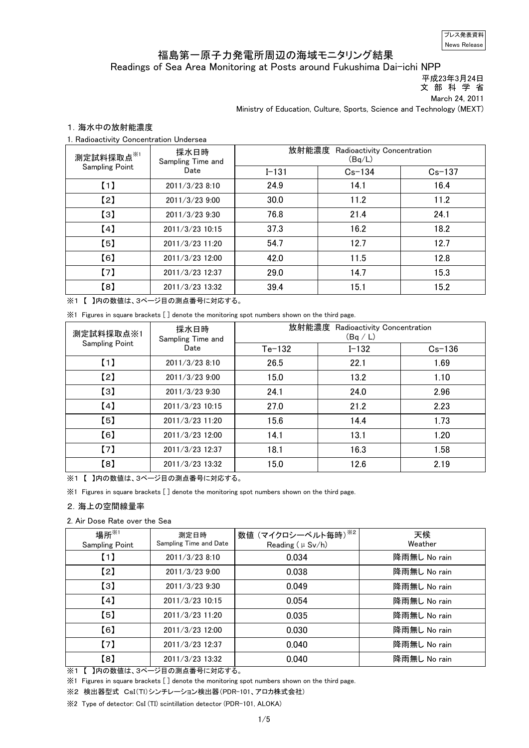News Release プレス発表資料

# 福島第一原子力発電所周辺の海域モニタリング結果

Readings of Sea Area Monitoring at Posts around Fukushima Dai-ichi NPP

 平成23年3月24日 文 部 科 学 省

March 24, 2011

Ministry of Education, Culture, Sports, Science and Technology (MEXT)

## 1.海水中の放射能濃度

1. Radioactivity Concentration Undersea

| 測定試料採取点※1             | 採水日時<br>Sampling Time and | 放射能濃度<br>Radioactivity Concentration<br>(Bq/L) |            |            |
|-----------------------|---------------------------|------------------------------------------------|------------|------------|
| <b>Sampling Point</b> | Date                      | $I - 131$                                      | $Cs - 134$ | $Cs - 137$ |
| [1]                   | 2011/3/23 8:10            | 24.9                                           | 14.1       | 16.4       |
| [2]                   | 2011/3/239:00             | 30.0                                           | 11.2       | 11.2       |
| [3]                   | 2011/3/23 9:30            | 76.8                                           | 21.4       | 24.1       |
| [4]                   | 2011/3/23 10:15           | 37.3                                           | 16.2       | 18.2       |
| [5]                   | 2011/3/23 11:20           | 54.7                                           | 12.7       | 12.7       |
| [6]                   | 2011/3/23 12:00           | 42.0                                           | 11.5       | 12.8       |
| [7]                   | 2011/3/23 12:37           | 29.0                                           | 14.7       | 15.3       |
| [8]                   | 2011/3/23 13:32           | 39.4                                           | 15.1       | 15.2       |

※1 【 】内の数値は、3ページ目の測点番号に対応する。

※1 Figures in square brackets [ ] denote the monitoring spot numbers shown on the third page.

| 測定試料採取点※1             | 採水日時<br>Sampling Time and<br>Date | 放射能濃度<br>Radioactivity Concentration<br>(Bq/L) |           |            |
|-----------------------|-----------------------------------|------------------------------------------------|-----------|------------|
| <b>Sampling Point</b> |                                   | $Te-132$                                       | $I - 132$ | $Cs - 136$ |
| $\left[1\right]$      | 2011/3/23 8:10                    | 26.5                                           | 22.1      | 1.69       |
| [2]                   | 2011/3/23 9:00                    | 15.0                                           | 13.2      | 1.10       |
| $\left[3\right]$      | 2011/3/23 9:30                    | 24.1                                           | 24.0      | 2.96       |
| [4]                   | 2011/3/23 10:15                   | 27.0                                           | 21.2      | 2.23       |
| [5]                   | 2011/3/23 11:20                   | 15.6                                           | 14.4      | 1.73       |
| [6]                   | 2011/3/23 12:00                   | 14.1                                           | 13.1      | 1.20       |
| (7)                   | 2011/3/23 12:37                   | 18.1                                           | 16.3      | 1.58       |
| [8]                   | 2011/3/23 13:32                   | 15.0                                           | 12.6      | 2.19       |

※1 【 】内の数値は、3ページ目の測点番号に対応する。

※1 Figures in square brackets [ ] denote the monitoring spot numbers shown on the third page.

#### 2.海上の空間線量率

### 2. Air Dose Rate over the Sea

| 場所 $^{\times 1}$<br><b>Sampling Point</b> | 測定日時<br>Sampling Time and Date | 数値 (マイクロシーベルト毎時) ※2<br>Reading $(\mu Sv/h)$ | 天候<br>Weather |
|-------------------------------------------|--------------------------------|---------------------------------------------|---------------|
| (1)                                       | 2011/3/23 8:10                 | 0.034                                       | 降雨無し No rain  |
| $\left[2\right]$                          | 2011/3/23 9:00                 | 0.038                                       | 降雨無し No rain  |
| $\left[3\right]$                          | 2011/3/23 9:30                 | 0.049                                       | 降雨無し No rain  |
| [4]                                       | 2011/3/23 10:15                | 0.054                                       | 降雨無し No rain  |
| [5]                                       | 2011/3/23 11:20                | 0.035                                       | 降雨無し No rain  |
| [6]                                       | 2011/3/23 12:00                | 0.030                                       | 降雨無し No rain  |
| (7)                                       | 2011/3/23 12:37                | 0.040                                       | 降雨無し No rain  |
| $^{[8]}$                                  | 2011/3/23 13:32                | 0.040                                       | 降雨無し No rain  |

※1 【 】内の数値は、3ページ目の測点番号に対応する。

※1 Figures in square brackets [ ] denote the monitoring spot numbers shown on the third page.

※2 検出器型式 CsI(Tl)シンチレーション検出器(PDR-101、アロカ株式会社)

※2 Type of detector: CsI (TI) scintillation detector (PDR-101, ALOKA)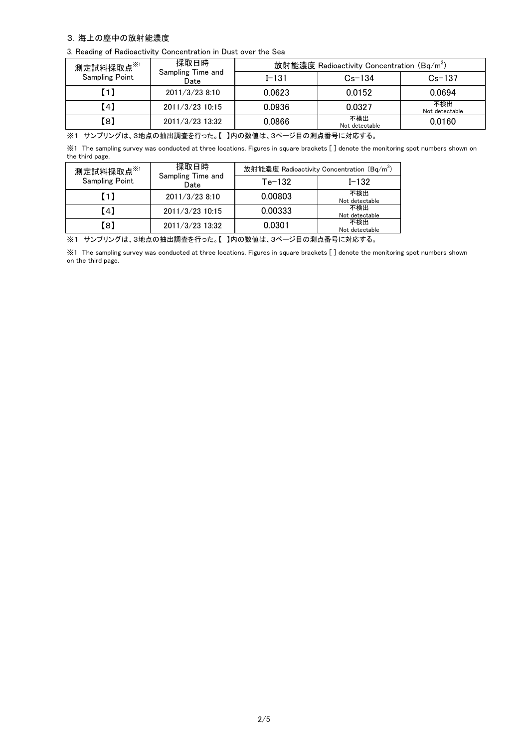## 3.海上の塵中の放射能濃度

3. Reading of Radioactivity Concentration in Dust over the Sea

| 測定試料採取点 <sup>※1</sup> | 採取日時                      |           | 放射能濃度 Radioactivity Concentration (Bq/m <sup>3</sup> ) |                       |
|-----------------------|---------------------------|-----------|--------------------------------------------------------|-----------------------|
| <b>Sampling Point</b> | Sampling Time and<br>Date | $I - 131$ | $Cs - 134$                                             | $Cs - 137$            |
| O                     | 2011/3/238:10             | 0.0623    | 0.0152                                                 | 0.0694                |
| 【4】                   | 2011/3/23 10:15           | 0.0936    | 0.0327                                                 | 不検出<br>Not detectable |
| 【8】                   | 2011/3/23 13:32           | 0.0866    | 不検出<br>Not detectable                                  | 0.0160                |

※1 サンプリングは、3地点の抽出調査を行った。【 】内の数値は、3ページ目の測点番号に対応する。

※1 The sampling survey was conducted at three locations. Figures in square brackets [ ] denote the monitoring spot numbers shown on the third page.

| 測定試料採取点※1             | 採取日時<br>Sampling Time and<br>Date | 放射能濃度 Radioactivity Concentration (Bq/m <sup>3</sup> ) |                       |  |
|-----------------------|-----------------------------------|--------------------------------------------------------|-----------------------|--|
| <b>Sampling Point</b> |                                   | $Te-132$                                               | $I - 132$             |  |
| (1)                   | 2011/3/23 8:10                    | 0.00803                                                | 不検出<br>Not detectable |  |
| 【4】                   | 2011/3/23 10:15                   | 0.00333                                                | 不検出<br>Not detectable |  |
| (8)                   | 2011/3/23 13:32                   | 0.0301                                                 | 不検出<br>Not detectable |  |

※1 サンプリングは、3地点の抽出調査を行った。【 】内の数値は、3ページ目の測点番号に対応する。

※1 The sampling survey was conducted at three locations. Figures in square brackets [ ] denote the monitoring spot numbers shown on the third page.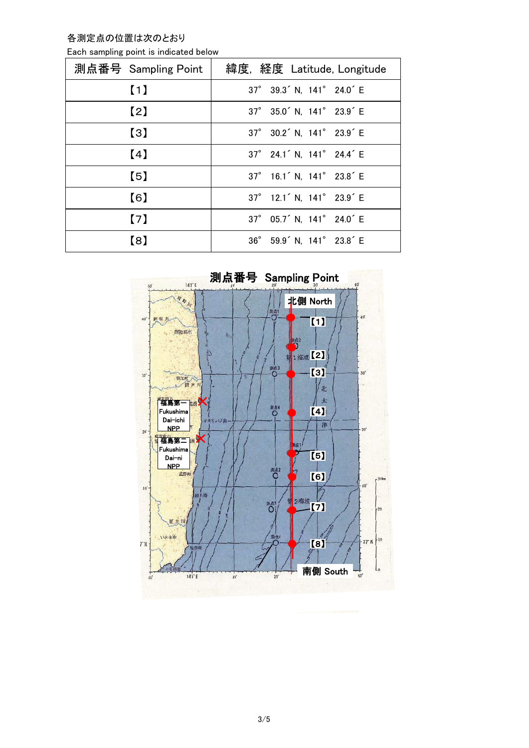各測定点の位置は次のとおり

| Each sampling point is indicated below |  |  |  |  |  |
|----------------------------------------|--|--|--|--|--|
|----------------------------------------|--|--|--|--|--|

| 測点番号 Sampling Point | 緯度, 経度 Latitude, Longitude                        |
|---------------------|---------------------------------------------------|
| (1)                 | 37° 39.3 <sup>'</sup> N, 141° 24.0 <sup>'</sup> E |
| (2)                 | 37° 35.0 <sup>'</sup> N, 141° 23.9 <sup>'</sup> E |
| $\left(3\right)$    | 37° 30.2 <sup>'</sup> N, 141° 23.9 <sup>'</sup> E |
| (4)                 | 37° 24.1 <sup>'</sup> N, 141° 24.4 <sup>'</sup> E |
| $\left[5\right]$    | 37° 16.1 <sup>'</sup> N, 141° 23.8 <sup>'</sup> E |
| (6)                 | 37° 12.1 <sup>'</sup> N, 141° 23.9 <sup>'</sup> E |
| (7)                 | 37° 05.7 <sup>'</sup> N, 141° 24.0 <sup>'</sup> E |
| $\left( 8\right)$   | 36° 59.9 <sup>'</sup> N, 141° 23.8 <sup>'</sup> E |

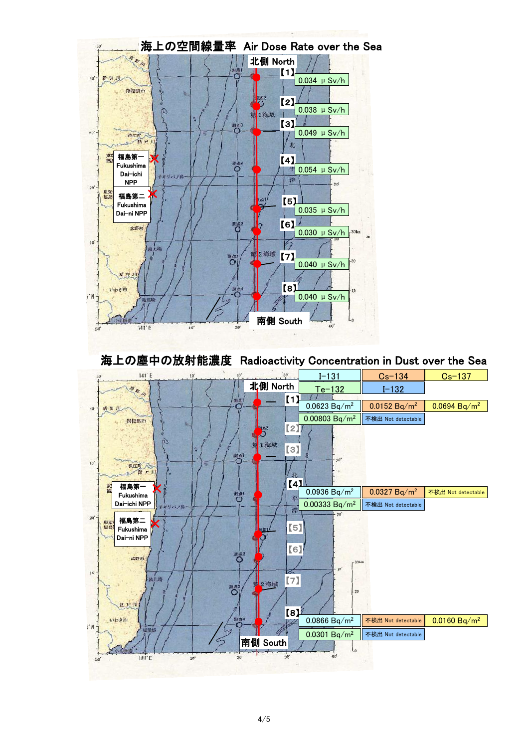

海上の塵中の放射能濃度 Radioactivity Concentration in Dust over the Sea